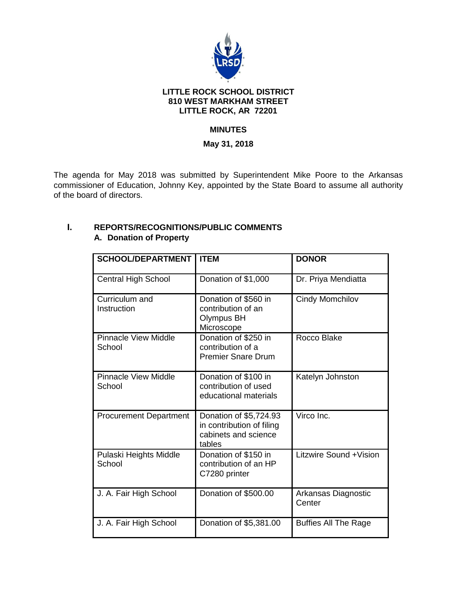

### **LITTLE ROCK SCHOOL DISTRICT 810 WEST MARKHAM STREET LITTLE ROCK, AR 72201**

# **MINUTES**

## **May 31, 2018**

The agenda for May 2018 was submitted by Superintendent Mike Poore to the Arkansas commissioner of Education, Johnny Key, appointed by the State Board to assume all authority of the board of directors.

| <b>SCHOOL/DEPARTMENT</b>              | <b>ITEM</b>                                                                           | <b>DONOR</b>                  |
|---------------------------------------|---------------------------------------------------------------------------------------|-------------------------------|
| <b>Central High School</b>            | Donation of \$1,000                                                                   | Dr. Priya Mendiatta           |
| Curriculum and<br>Instruction         | Donation of \$560 in<br>contribution of an<br><b>Olympus BH</b><br>Microscope         | <b>Cindy Momchilov</b>        |
| <b>Pinnacle View Middle</b><br>School | Donation of \$250 in<br>contribution of a<br><b>Premier Snare Drum</b>                | Rocco Blake                   |
| <b>Pinnacle View Middle</b><br>School | Donation of \$100 in<br>contribution of used<br>educational materials                 | Katelyn Johnston              |
| <b>Procurement Department</b>         | Donation of \$5,724.93<br>in contribution of filing<br>cabinets and science<br>tables | Virco Inc.                    |
| Pulaski Heights Middle<br>School      | Donation of \$150 in<br>contribution of an HP<br>C7280 printer                        | Litzwire Sound + Vision       |
| J. A. Fair High School                | Donation of \$500.00                                                                  | Arkansas Diagnostic<br>Center |
| J. A. Fair High School                | Donation of \$5,381.00                                                                | <b>Buffies All The Rage</b>   |

# **I. REPORTS/RECOGNITIONS/PUBLIC COMMENTS A. Donation of Property**